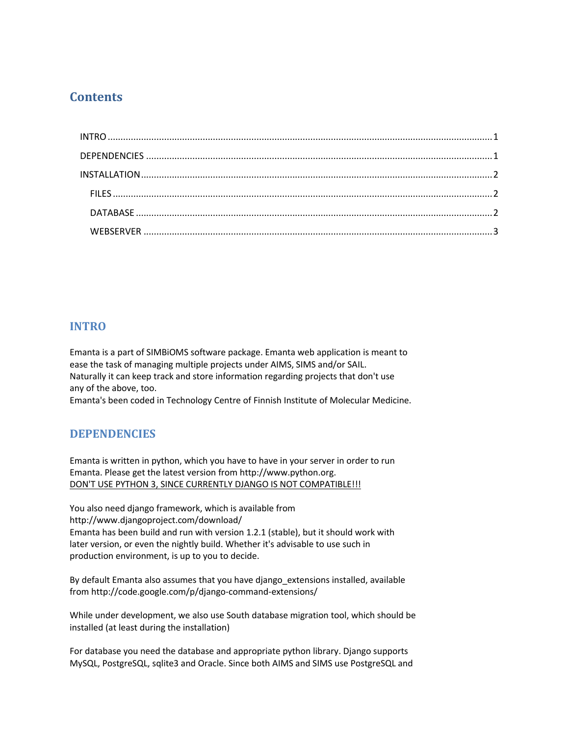# **Contents**

## <span id="page-0-0"></span>**INTRO**

Emanta is a part of SIMBiOMS software package. Emanta web application is meant to ease the task of managing multiple projects under AIMS, SIMS and/or SAIL. Naturally it can keep track and store information regarding projects that don't use any of the above, too.

Emanta's been coded in Technology Centre of Finnish Institute of Molecular Medicine.

# <span id="page-0-1"></span>**DEPENDENCIES**

Emanta is written in python, which you have to have in your server in order to run Emanta. Please get the latest version from http://www.python.org. DON'T USE PYTHON 3, SINCE CURRENTLY DJANGO IS NOT COMPATIBLE !!!

You also need django framework, which is available from http://www.djangoproject.com/download/ Emanta has been build and run with version 1.2.1 (stable), but it should work with later version, or even the nightly build. Whether it's advisable to use such in production environment, is up to you to decide.

By default Emanta also assumes that you have django extensions installed, available from http://code.google.com/p/django-command-extensions/

While under development, we also use South database migration tool, which should be installed (at least during the installation)

For database you need the database and appropriate python library. Django supports MySQL, PostgreSQL, sqlite3 and Oracle. Since both AIMS and SIMS use PostgreSQL and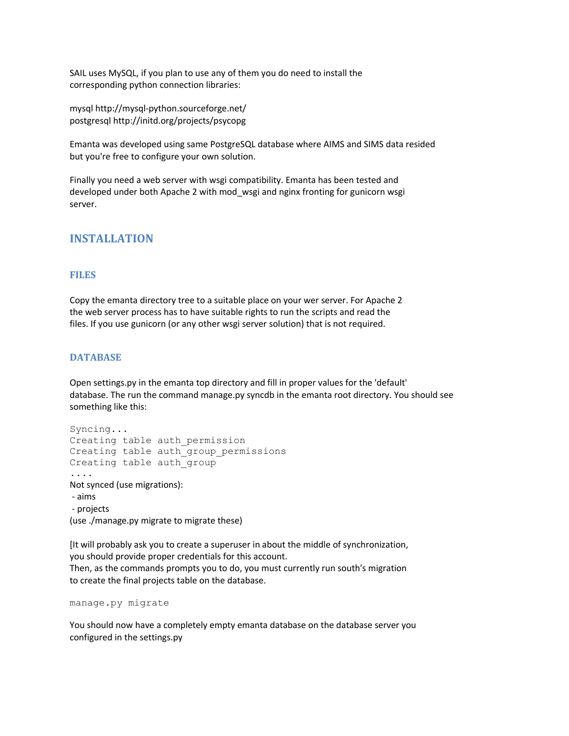SAIL uses MySQL, if you plan to use any of them you do need to install the corresponding python connection libraries:

mysql http://mysql-python.sourceforge.net/ postgresql http://initd.org/projects/psycopg

Emanta was developed using same PostgreSQL database where AIMS and SIMS data resided but you're free to configure your own solution.

Finally you need a web server with wsgi compatibility. Emanta has been tested and developed under both Apache 2 with mod\_wsgi and nginx fronting for gunicorn wsgi server.

## <span id="page-1-0"></span>**INSTALLATION**

#### <span id="page-1-1"></span>**FILES**

Copy the emanta directory tree to a suitable place on your wer server. For Apache 2 the web server process has to have suitable rights to run the scripts and read the files. If you use gunicorn (or any other wsgi server solution) that is not required.

### <span id="page-1-2"></span>**DATABASE**

Open settings.py in the emanta top directory and fill in proper values for the 'default' database. The run the command manage.py syncdb in the emanta root directory. You should see something like this:

```
Syncing...
Creating table auth permission
Creating table auth group permissions
Creating table auth group
....
Not synced (use migrations):
- aims
- projects
(use ./manage.py migrate to migrate these)
```
[It will probably ask you to create a superuser in about the middle of synchronization, you should provide proper credentials for this account. Then, as the commands prompts you to do, you must currently run south's migration to create the final projects table on the database.

```
manage.py migrate
```
You should now have a completely empty emanta database on the database server you configured in the settings.py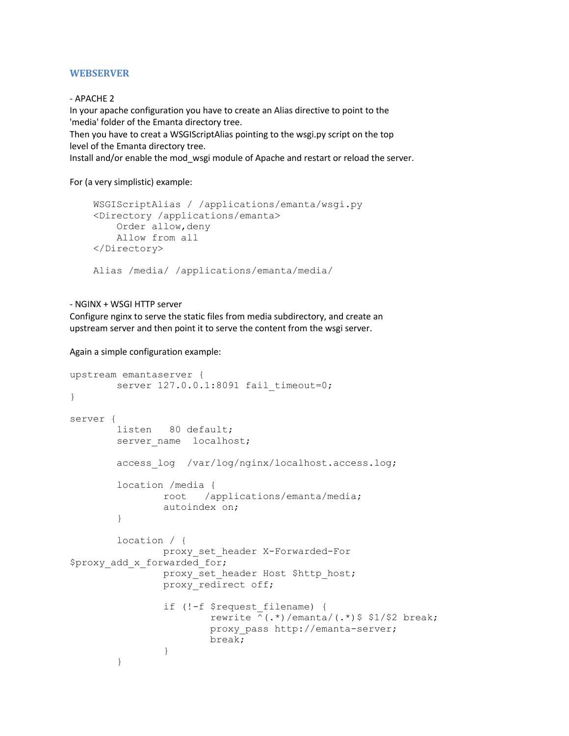#### <span id="page-2-0"></span>**WEBSERVER**

#### - APACHE 2

In your apache configuration you have to create an Alias directive to point to the 'media' folder of the Emanta directory tree.

Then you have to creat a WSGIScriptAlias pointing to the wsgi.py script on the top level of the Emanta directory tree.

Install and/or enable the mod\_wsgi module of Apache and restart or reload the server.

For (a very simplistic) example:

```
 WSGIScriptAlias / /applications/emanta/wsgi.py
 <Directory /applications/emanta>
     Order allow,deny
     Allow from all
 </Directory>
 Alias /media/ /applications/emanta/media/
```
#### - NGINX + WSGI HTTP server

Configure nginx to serve the static files from media subdirectory, and create an upstream server and then point it to serve the content from the wsgi server.

Again a simple configuration example:

```
upstream emantaserver {
       server 127.0.0.1:8091 fail timeout=0;
}
server {
        listen 80 default;
       server name localhost;
        access_log /var/log/nginx/localhost.access.log;
        location /media {
                root /applications/emanta/media;
                autoindex on;
 }
        location / {
                proxy_set_header X-Forwarded-For 
$proxy add x forwarded for;
               proxy set header Host $http host;
               proxy redirect off;
                if (!-f $request_filename) {
                        rewrite ^(.*)/emanta/(.*)$ $1/$2 break;
                       proxy_pass http://emanta-server;
                       break;
 }
 }
```